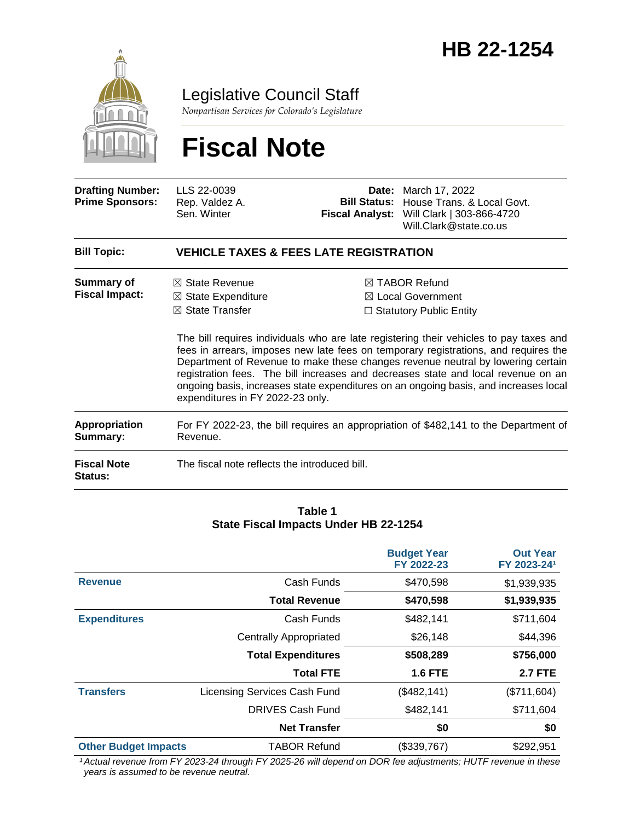

Legislative Council Staff

*Nonpartisan Services for Colorado's Legislature*

# **Fiscal Note**

| <b>Drafting Number:</b><br><b>Prime Sponsors:</b> | LLS 22-0039<br>Rep. Valdez A.<br>Sen. Winter                                                                                 | <b>Fiscal Analyst:</b> | <b>Date:</b> March 17, 2022<br>Bill Status: House Trans. & Local Govt.<br>Will Clark   303-866-4720<br>Will.Clark@state.co.us                                                                                                                                                                                                                                                                                                                                                                                                               |
|---------------------------------------------------|------------------------------------------------------------------------------------------------------------------------------|------------------------|---------------------------------------------------------------------------------------------------------------------------------------------------------------------------------------------------------------------------------------------------------------------------------------------------------------------------------------------------------------------------------------------------------------------------------------------------------------------------------------------------------------------------------------------|
| <b>Bill Topic:</b>                                | <b>VEHICLE TAXES &amp; FEES LATE REGISTRATION</b>                                                                            |                        |                                                                                                                                                                                                                                                                                                                                                                                                                                                                                                                                             |
| Summary of<br><b>Fiscal Impact:</b>               | $\boxtimes$ State Revenue<br>$\boxtimes$ State Expenditure<br>$\boxtimes$ State Transfer<br>expenditures in FY 2022-23 only. |                        | $\boxtimes$ TABOR Refund<br>$\boxtimes$ Local Government<br>$\Box$ Statutory Public Entity<br>The bill requires individuals who are late registering their vehicles to pay taxes and<br>fees in arrears, imposes new late fees on temporary registrations, and requires the<br>Department of Revenue to make these changes revenue neutral by lowering certain<br>registration fees. The bill increases and decreases state and local revenue on an<br>ongoing basis, increases state expenditures on an ongoing basis, and increases local |
| <b>Appropriation</b><br>Summary:                  | Revenue.                                                                                                                     |                        | For FY 2022-23, the bill requires an appropriation of \$482,141 to the Department of                                                                                                                                                                                                                                                                                                                                                                                                                                                        |
| <b>Fiscal Note</b><br>Status:                     | The fiscal note reflects the introduced bill.                                                                                |                        |                                                                                                                                                                                                                                                                                                                                                                                                                                                                                                                                             |

#### **Table 1 State Fiscal Impacts Under HB 22-1254**

|                             |                               | <b>Budget Year</b><br>FY 2022-23 | <b>Out Year</b><br>FY 2023-241 |
|-----------------------------|-------------------------------|----------------------------------|--------------------------------|
| <b>Revenue</b>              | Cash Funds                    | \$470,598                        | \$1,939,935                    |
|                             | <b>Total Revenue</b>          | \$470,598                        | \$1,939,935                    |
| <b>Expenditures</b>         | Cash Funds                    | \$482,141                        | \$711,604                      |
|                             | <b>Centrally Appropriated</b> | \$26,148                         | \$44,396                       |
|                             | <b>Total Expenditures</b>     | \$508,289                        | \$756,000                      |
|                             | <b>Total FTE</b>              | <b>1.6 FTE</b>                   | <b>2.7 FTE</b>                 |
| <b>Transfers</b>            | Licensing Services Cash Fund  | (\$482, 141)                     | (\$711,604)                    |
|                             | <b>DRIVES Cash Fund</b>       | \$482,141                        | \$711,604                      |
|                             | <b>Net Transfer</b>           | \$0                              | \$0                            |
| <b>Other Budget Impacts</b> | <b>TABOR Refund</b>           | (\$339,767)                      | \$292,951                      |

*¹Actual revenue from FY 2023-24 through FY 2025-26 will depend on DOR fee adjustments; HUTF revenue in these years is assumed to be revenue neutral.*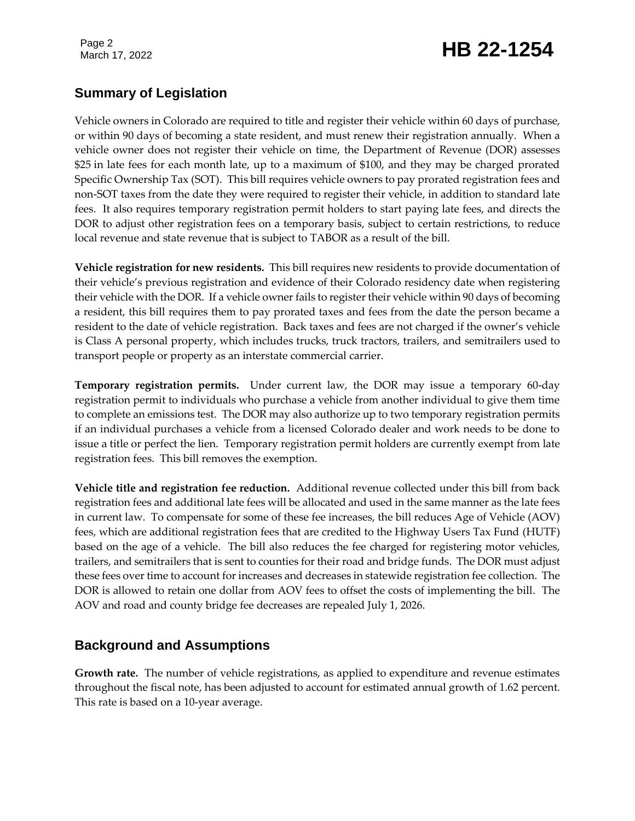# March 17, 2022 **HB 22-1254**

### **Summary of Legislation**

Vehicle owners in Colorado are required to title and register their vehicle within 60 days of purchase, or within 90 days of becoming a state resident, and must renew their registration annually. When a vehicle owner does not register their vehicle on time, the Department of Revenue (DOR) assesses \$25 in late fees for each month late, up to a maximum of \$100, and they may be charged prorated Specific Ownership Tax (SOT). This bill requires vehicle owners to pay prorated registration fees and non-SOT taxes from the date they were required to register their vehicle, in addition to standard late fees. It also requires temporary registration permit holders to start paying late fees, and directs the DOR to adjust other registration fees on a temporary basis, subject to certain restrictions, to reduce local revenue and state revenue that is subject to TABOR as a result of the bill.

**Vehicle registration for new residents.** This bill requires new residents to provide documentation of their vehicle's previous registration and evidence of their Colorado residency date when registering their vehicle with the DOR. If a vehicle owner fails to register their vehicle within 90 days of becoming a resident, this bill requires them to pay prorated taxes and fees from the date the person became a resident to the date of vehicle registration. Back taxes and fees are not charged if the owner's vehicle is Class A personal property, which includes trucks, truck tractors, trailers, and semitrailers used to transport people or property as an interstate commercial carrier.

**Temporary registration permits.** Under current law, the DOR may issue a temporary 60-day registration permit to individuals who purchase a vehicle from another individual to give them time to complete an emissions test. The DOR may also authorize up to two temporary registration permits if an individual purchases a vehicle from a licensed Colorado dealer and work needs to be done to issue a title or perfect the lien. Temporary registration permit holders are currently exempt from late registration fees. This bill removes the exemption.

**Vehicle title and registration fee reduction.** Additional revenue collected under this bill from back registration fees and additional late fees will be allocated and used in the same manner as the late fees in current law. To compensate for some of these fee increases, the bill reduces Age of Vehicle (AOV) fees, which are additional registration fees that are credited to the Highway Users Tax Fund (HUTF) based on the age of a vehicle. The bill also reduces the fee charged for registering motor vehicles, trailers, and semitrailers that is sent to counties for their road and bridge funds. The DOR must adjust these fees over time to account for increases and decreases in statewide registration fee collection. The DOR is allowed to retain one dollar from AOV fees to offset the costs of implementing the bill. The AOV and road and county bridge fee decreases are repealed July 1, 2026.

### **Background and Assumptions**

**Growth rate.** The number of vehicle registrations, as applied to expenditure and revenue estimates throughout the fiscal note, has been adjusted to account for estimated annual growth of 1.62 percent. This rate is based on a 10-year average.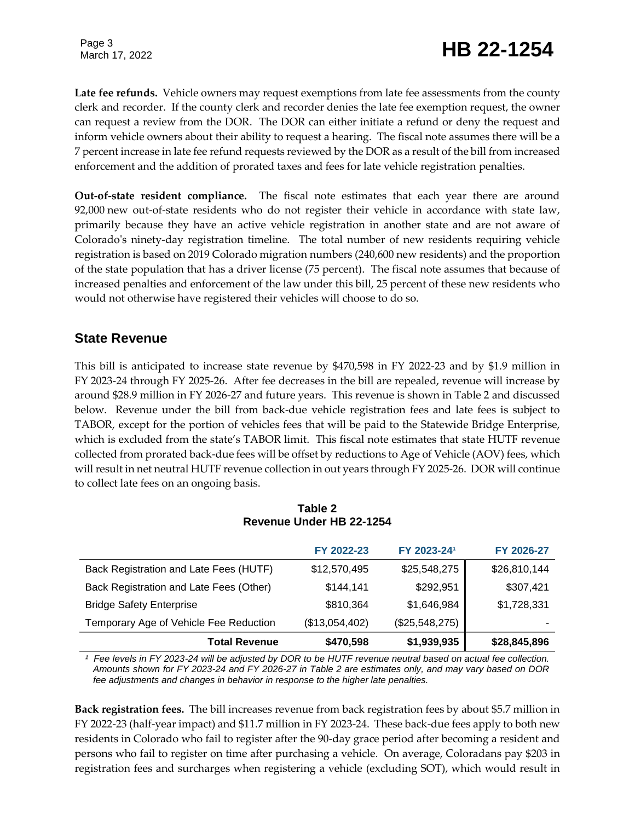# March 17, 2022 **HB 22-1254**

**Late fee refunds.** Vehicle owners may request exemptions from late fee assessments from the county clerk and recorder. If the county clerk and recorder denies the late fee exemption request, the owner can request a review from the DOR. The DOR can either initiate a refund or deny the request and inform vehicle owners about their ability to request a hearing. The fiscal note assumes there will be a 7 percent increase in late fee refund requests reviewed by the DOR as a result of the bill from increased enforcement and the addition of prorated taxes and fees for late vehicle registration penalties.

**Out-of-state resident compliance.** The fiscal note estimates that each year there are around 92,000 new out-of-state residents who do not register their vehicle in accordance with state law, primarily because they have an active vehicle registration in another state and are not aware of Colorado's ninety-day registration timeline. The total number of new residents requiring vehicle registration is based on 2019 Colorado migration numbers (240,600 new residents) and the proportion of the state population that has a driver license (75 percent). The fiscal note assumes that because of increased penalties and enforcement of the law under this bill, 25 percent of these new residents who would not otherwise have registered their vehicles will choose to do so.

#### **State Revenue**

This bill is anticipated to increase state revenue by \$470,598 in FY 2022-23 and by \$1.9 million in FY 2023-24 through FY 2025-26. After fee decreases in the bill are repealed, revenue will increase by around \$28.9 million in FY 2026-27 and future years. This revenue is shown in Table 2 and discussed below. Revenue under the bill from back-due vehicle registration fees and late fees is subject to TABOR, except for the portion of vehicles fees that will be paid to the Statewide Bridge Enterprise, which is excluded from the state's TABOR limit. This fiscal note estimates that state HUTF revenue collected from prorated back-due fees will be offset by reductions to Age of Vehicle (AOV) fees, which will result in net neutral HUTF revenue collection in out years through FY 2025-26. DOR will continue to collect late fees on an ongoing basis.

| <b>Total Revenue</b>                    | \$470,598      | \$1,939,935    | \$28,845,896 |
|-----------------------------------------|----------------|----------------|--------------|
| Temporary Age of Vehicle Fee Reduction  | (\$13,054,402) | (\$25,548,275) |              |
| <b>Bridge Safety Enterprise</b>         | \$810,364      | \$1,646,984    | \$1,728,331  |
| Back Registration and Late Fees (Other) | \$144,141      | \$292,951      | \$307,421    |
| Back Registration and Late Fees (HUTF)  | \$12,570,495   | \$25,548,275   | \$26,810,144 |
|                                         | FY 2022-23     | FY 2023-241    | FY 2026-27   |
|                                         |                |                |              |

#### **Table 2 Revenue Under HB 22-1254**

*¹ Fee levels in FY 2023-24 will be adjusted by DOR to be HUTF revenue neutral based on actual fee collection. Amounts shown for FY 2023-24 and FY 2026-27 in Table 2 are estimates only, and may vary based on DOR fee adjustments and changes in behavior in response to the higher late penalties.*

**Back registration fees.** The bill increases revenue from back registration fees by about \$5.7 million in FY 2022-23 (half-year impact) and \$11.7 million in FY 2023-24. These back-due fees apply to both new residents in Colorado who fail to register after the 90-day grace period after becoming a resident and persons who fail to register on time after purchasing a vehicle. On average, Coloradans pay \$203 in registration fees and surcharges when registering a vehicle (excluding SOT), which would result in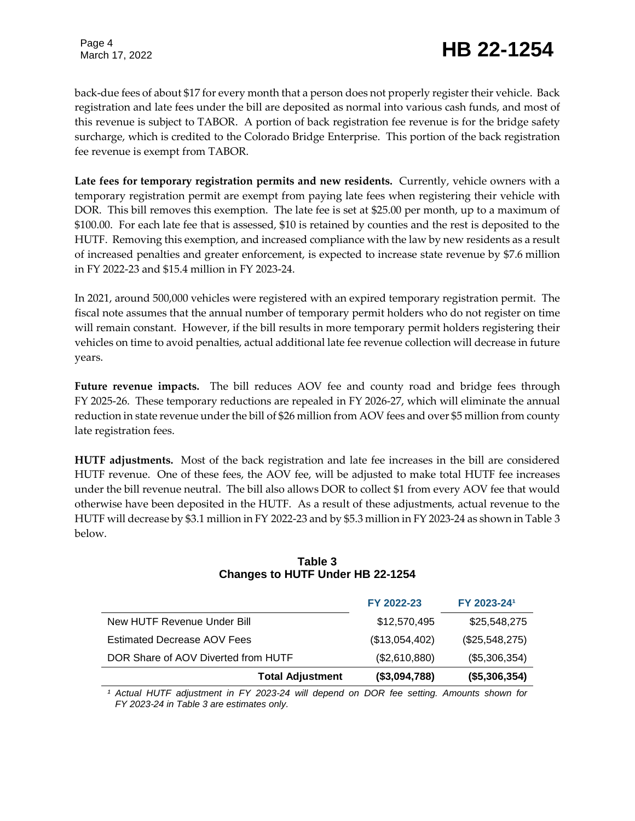# March 17, 2022 **HB 22-1254**

back-due fees of about \$17 for every month that a person does not properly register their vehicle. Back registration and late fees under the bill are deposited as normal into various cash funds, and most of this revenue is subject to TABOR. A portion of back registration fee revenue is for the bridge safety surcharge, which is credited to the Colorado Bridge Enterprise. This portion of the back registration fee revenue is exempt from TABOR.

**Late fees for temporary registration permits and new residents.** Currently, vehicle owners with a temporary registration permit are exempt from paying late fees when registering their vehicle with DOR. This bill removes this exemption. The late fee is set at \$25.00 per month, up to a maximum of \$100.00. For each late fee that is assessed, \$10 is retained by counties and the rest is deposited to the HUTF. Removing this exemption, and increased compliance with the law by new residents as a result of increased penalties and greater enforcement, is expected to increase state revenue by \$7.6 million in FY 2022-23 and \$15.4 million in FY 2023-24.

In 2021, around 500,000 vehicles were registered with an expired temporary registration permit. The fiscal note assumes that the annual number of temporary permit holders who do not register on time will remain constant. However, if the bill results in more temporary permit holders registering their vehicles on time to avoid penalties, actual additional late fee revenue collection will decrease in future years.

**Future revenue impacts.** The bill reduces AOV fee and county road and bridge fees through FY 2025-26. These temporary reductions are repealed in FY 2026-27, which will eliminate the annual reduction in state revenue under the bill of \$26 million from AOV fees and over \$5 million from county late registration fees.

**HUTF adjustments.** Most of the back registration and late fee increases in the bill are considered HUTF revenue. One of these fees, the AOV fee, will be adjusted to make total HUTF fee increases under the bill revenue neutral. The bill also allows DOR to collect \$1 from every AOV fee that would otherwise have been deposited in the HUTF. As a result of these adjustments, actual revenue to the HUTF will decrease by \$3.1 million in FY 2022-23 and by \$5.3 million in FY 2023-24 as shown in Table 3 below.

#### **Table 3 Changes to HUTF Under HB 22-1254**

|                                     | FY 2022-23     | FY 2023-241    |
|-------------------------------------|----------------|----------------|
| New HUTF Revenue Under Bill         | \$12,570,495   | \$25,548,275   |
| <b>Estimated Decrease AOV Fees</b>  | (\$13,054,402) | (\$25,548,275) |
| DOR Share of AOV Diverted from HUTF | (\$2,610,880)  | (\$5,306,354)  |
| <b>Total Adjustment</b>             | (\$3,094,788)  | (\$5,306,354)  |

*¹ Actual HUTF adjustment in FY 2023-24 will depend on DOR fee setting. Amounts shown for FY 2023-24 in Table 3 are estimates only.*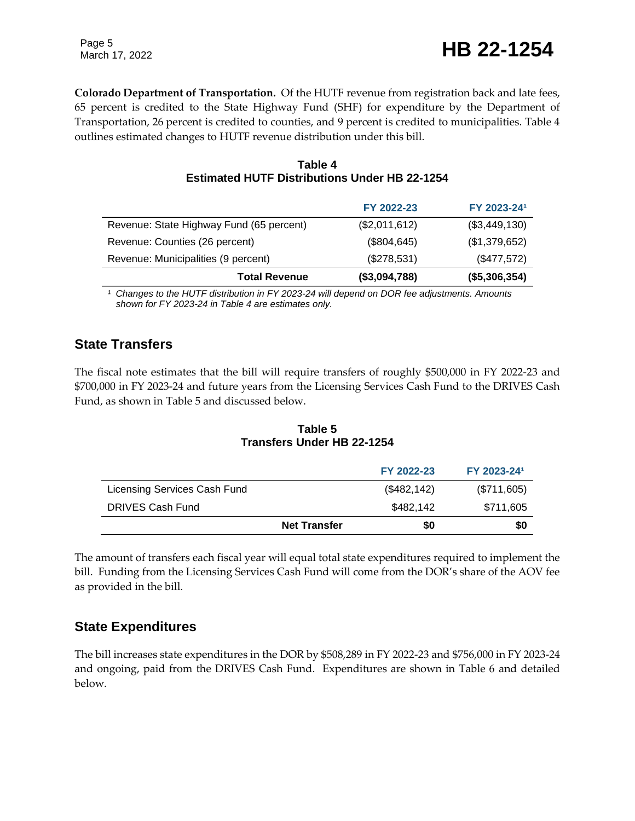**Colorado Department of Transportation.** Of the HUTF revenue from registration back and late fees, 65 percent is credited to the State Highway Fund (SHF) for expenditure by the Department of Transportation, 26 percent is credited to counties, and 9 percent is credited to municipalities. Table 4 outlines estimated changes to HUTF revenue distribution under this bill.

|                                                      | Table 4 |  |  |
|------------------------------------------------------|---------|--|--|
| <b>Estimated HUTF Distributions Under HB 22-1254</b> |         |  |  |

|                                          | FY 2022-23    | FY 2023-241   |
|------------------------------------------|---------------|---------------|
| Revenue: State Highway Fund (65 percent) | (\$2,011,612) | (\$3,449,130) |
| Revenue: Counties (26 percent)           | (\$804, 645)  | (\$1,379,652) |
| Revenue: Municipalities (9 percent)      | (\$278,531)   | (\$477,572)   |
| <b>Total Revenue</b>                     | (\$3,094,788) | (\$5,306,354) |

*¹ Changes to the HUTF distribution in FY 2023-24 will depend on DOR fee adjustments. Amounts shown for FY 2023-24 in Table 4 are estimates only.*

### **State Transfers**

The fiscal note estimates that the bill will require transfers of roughly \$500,000 in FY 2022-23 and \$700,000 in FY 2023-24 and future years from the Licensing Services Cash Fund to the DRIVES Cash Fund, as shown in Table 5 and discussed below.

| Table 5                    |  |
|----------------------------|--|
| Transfers Under HB 22-1254 |  |

|                              |                     | FY 2022-23   | FY 2023-241 |
|------------------------------|---------------------|--------------|-------------|
| Licensing Services Cash Fund |                     | (\$482, 142) | (\$711,605) |
| DRIVES Cash Fund             |                     | \$482.142    | \$711,605   |
|                              | <b>Net Transfer</b> | \$0          | \$0         |

The amount of transfers each fiscal year will equal total state expenditures required to implement the bill. Funding from the Licensing Services Cash Fund will come from the DOR's share of the AOV fee as provided in the bill.

### **State Expenditures**

The bill increases state expenditures in the DOR by \$508,289 in FY 2022-23 and \$756,000 in FY 2023-24 and ongoing, paid from the DRIVES Cash Fund. Expenditures are shown in Table 6 and detailed below.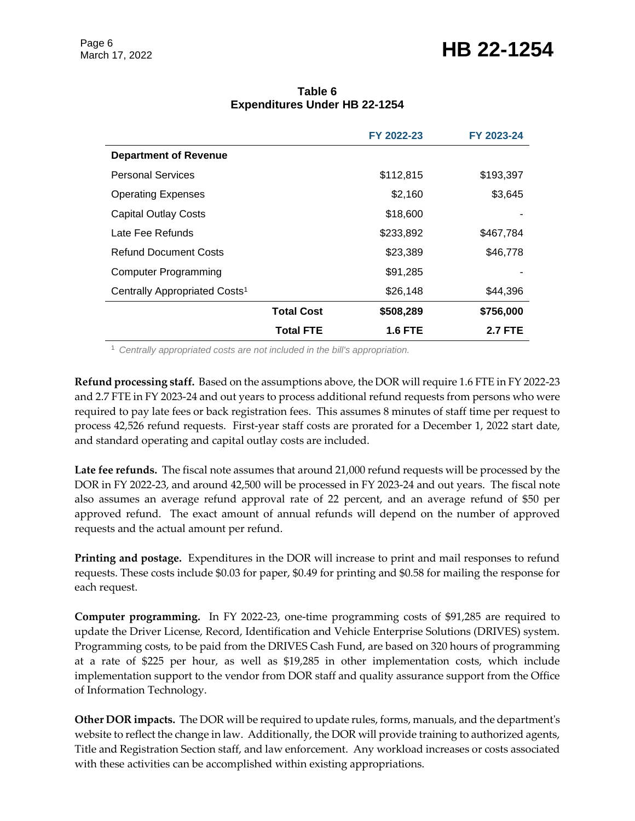## March 17, 2022 **HB 22-1254**

| Table 6                              |  |  |  |
|--------------------------------------|--|--|--|
| <b>Expenditures Under HB 22-1254</b> |  |  |  |

|                                           |                   | FY 2022-23     | FY 2023-24     |
|-------------------------------------------|-------------------|----------------|----------------|
| <b>Department of Revenue</b>              |                   |                |                |
| <b>Personal Services</b>                  |                   | \$112,815      | \$193,397      |
| <b>Operating Expenses</b>                 |                   | \$2,160        | \$3,645        |
| <b>Capital Outlay Costs</b>               |                   | \$18,600       |                |
| Late Fee Refunds                          |                   | \$233,892      | \$467,784      |
| <b>Refund Document Costs</b>              |                   | \$23,389       | \$46,778       |
| Computer Programming                      |                   | \$91,285       |                |
| Centrally Appropriated Costs <sup>1</sup> |                   | \$26,148       | \$44,396       |
|                                           | <b>Total Cost</b> | \$508,289      | \$756,000      |
|                                           | <b>Total FTE</b>  | <b>1.6 FTE</b> | <b>2.7 FTE</b> |

<sup>1</sup> *Centrally appropriated costs are not included in the bill's appropriation.*

**Refund processing staff.** Based on the assumptions above, the DOR will require 1.6 FTE in FY 2022-23 and 2.7 FTE in FY 2023-24 and out years to process additional refund requests from persons who were required to pay late fees or back registration fees. This assumes 8 minutes of staff time per request to process 42,526 refund requests. First-year staff costs are prorated for a December 1, 2022 start date, and standard operating and capital outlay costs are included.

**Late fee refunds.** The fiscal note assumes that around 21,000 refund requests will be processed by the DOR in FY 2022-23, and around 42,500 will be processed in FY 2023-24 and out years. The fiscal note also assumes an average refund approval rate of 22 percent, and an average refund of \$50 per approved refund. The exact amount of annual refunds will depend on the number of approved requests and the actual amount per refund.

**Printing and postage.** Expenditures in the DOR will increase to print and mail responses to refund requests. These costs include \$0.03 for paper, \$0.49 for printing and \$0.58 for mailing the response for each request.

**Computer programming.** In FY 2022-23, one-time programming costs of \$91,285 are required to update the Driver License, Record, Identification and Vehicle Enterprise Solutions (DRIVES) system. Programming costs, to be paid from the DRIVES Cash Fund, are based on 320 hours of programming at a rate of \$225 per hour, as well as \$19,285 in other implementation costs, which include implementation support to the vendor from DOR staff and quality assurance support from the Office of Information Technology.

**Other DOR impacts.** The DOR will be required to update rules, forms, manuals, and the department's website to reflect the change in law. Additionally, the DOR will provide training to authorized agents, Title and Registration Section staff, and law enforcement. Any workload increases or costs associated with these activities can be accomplished within existing appropriations.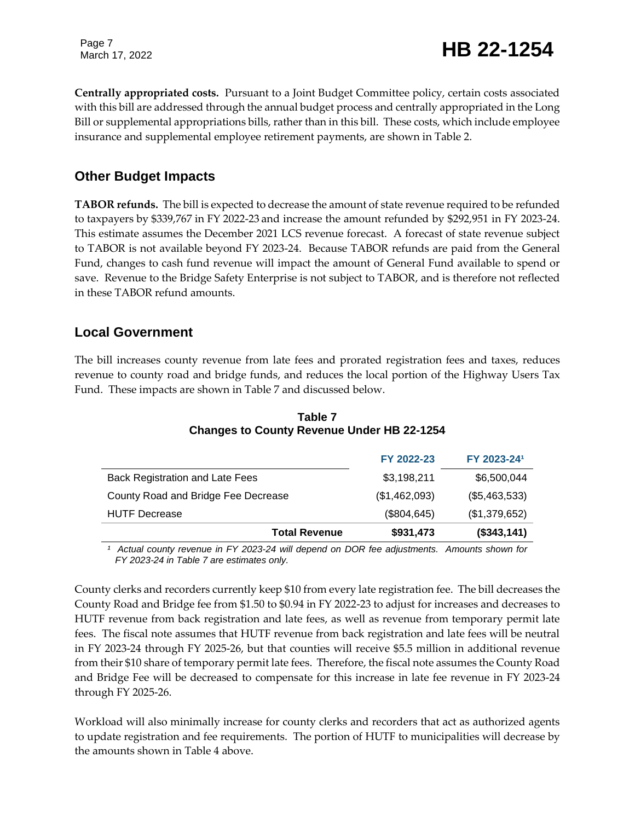# March 17, 2022 **HB 22-1254**

**Centrally appropriated costs.** Pursuant to a Joint Budget Committee policy, certain costs associated with this bill are addressed through the annual budget process and centrally appropriated in the Long Bill or supplemental appropriations bills, rather than in this bill. These costs, which include employee insurance and supplemental employee retirement payments, are shown in Table 2.

### **Other Budget Impacts**

**TABOR refunds.** The bill is expected to decrease the amount of state revenue required to be refunded to taxpayers by \$339,767 in FY 2022-23 and increase the amount refunded by \$292,951 in FY 2023-24. This estimate assumes the December 2021 LCS revenue forecast. A forecast of state revenue subject to TABOR is not available beyond FY 2023-24. Because TABOR refunds are paid from the General Fund, changes to cash fund revenue will impact the amount of General Fund available to spend or save. Revenue to the Bridge Safety Enterprise is not subject to TABOR, and is therefore not reflected in these TABOR refund amounts.

#### **Local Government**

The bill increases county revenue from late fees and prorated registration fees and taxes, reduces revenue to county road and bridge funds, and reduces the local portion of the Highway Users Tax Fund. These impacts are shown in Table 7 and discussed below.

|                                        | FY 2022-23    | FY 2023-241   |
|----------------------------------------|---------------|---------------|
| <b>Back Registration and Late Fees</b> | \$3,198,211   | \$6,500,044   |
| County Road and Bridge Fee Decrease    | (\$1,462,093) | (\$5,463,533) |
| <b>HUTF Decrease</b>                   | (\$804, 645)  | (\$1,379,652) |
| <b>Total Revenue</b>                   | \$931,473     | (\$343,141)   |

#### **Table 7 Changes to County Revenue Under HB 22-1254**

*¹ Actual county revenue in FY 2023-24 will depend on DOR fee adjustments. Amounts shown for FY 2023-24 in Table 7 are estimates only.*

County clerks and recorders currently keep \$10 from every late registration fee. The bill decreases the County Road and Bridge fee from \$1.50 to \$0.94 in FY 2022-23 to adjust for increases and decreases to HUTF revenue from back registration and late fees, as well as revenue from temporary permit late fees. The fiscal note assumes that HUTF revenue from back registration and late fees will be neutral in FY 2023-24 through FY 2025-26, but that counties will receive \$5.5 million in additional revenue from their \$10 share of temporary permit late fees. Therefore, the fiscal note assumes the County Road and Bridge Fee will be decreased to compensate for this increase in late fee revenue in FY 2023-24 through FY 2025-26.

Workload will also minimally increase for county clerks and recorders that act as authorized agents to update registration and fee requirements. The portion of HUTF to municipalities will decrease by the amounts shown in Table 4 above.